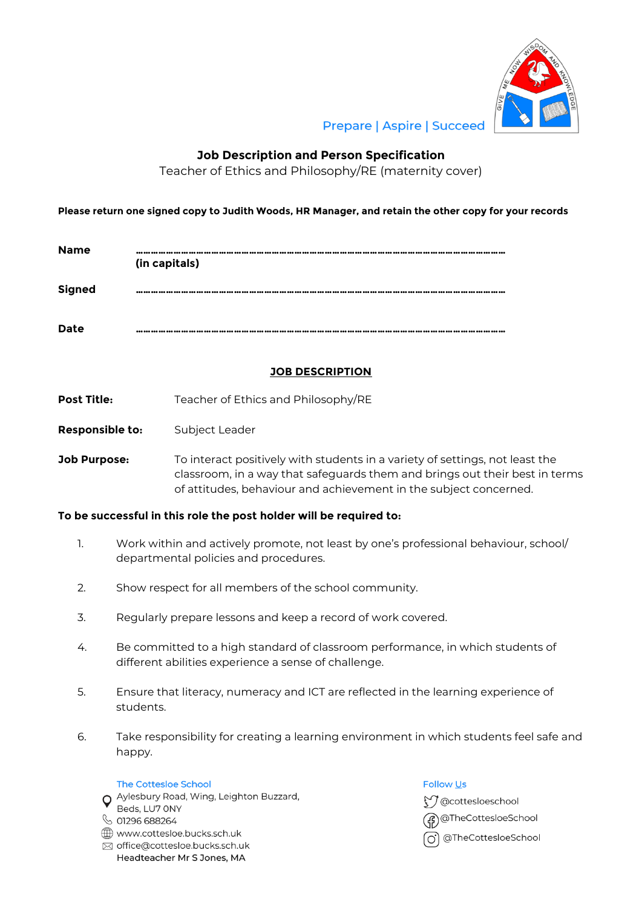

# **Prepare | Aspire | Succeed**

## **Job Description and Person Specification**

Teacher of Ethics and Philosophy/RE (maternity cover)

## **Please return one signed copy to Judith Woods, HR Manager, and retain the other copy for your records**

| <b>Name</b>   | a aaa aaa aaa aaa aaa aaa aaa aaa<br><br>(in capitals) |
|---------------|--------------------------------------------------------|
| <b>Signed</b> | $-0$                                                   |
| Date          |                                                        |

## **JOB DESCRIPTION**

- **Post Title:** Teacher of Ethics and Philosophy/RE
- **Responsible to:** Subject Leader
- **Job Purpose:** To interact positively with students in a variety of settings, not least the classroom, in a way that safeguards them and brings out their best in terms of attitudes, behaviour and achievement in the subject concerned.

#### **To be successful in this role the post holder will be required to:**

- 1. Work within and actively promote, not least by one's professional behaviour, school/ departmental policies and procedures.
- 2. Show respect for all members of the school community.
- 3. Regularly prepare lessons and keep a record of work covered.
- 4. Be committed to a high standard of classroom performance, in which students of different abilities experience a sense of challenge.
- 5. Ensure that literacy, numeracy and ICT are reflected in the learning experience of students.
- 6. Take responsibility for creating a learning environment in which students feel safe and happy.

#### **The Cottesloe School**

O Aylesbury Road, Wing, Leighton Buzzard, Beds, LU7 ONY ↓ 01296 688264 www.cottesloe.bucks.sch.uk ⊠ office@cottesloe.bucks.sch.uk

Headteacher Mr S Jones, MA

#### **Follow Us**

₹7 @cottesloeschool @TheCottesloeSchool ol @TheCottesloeSchool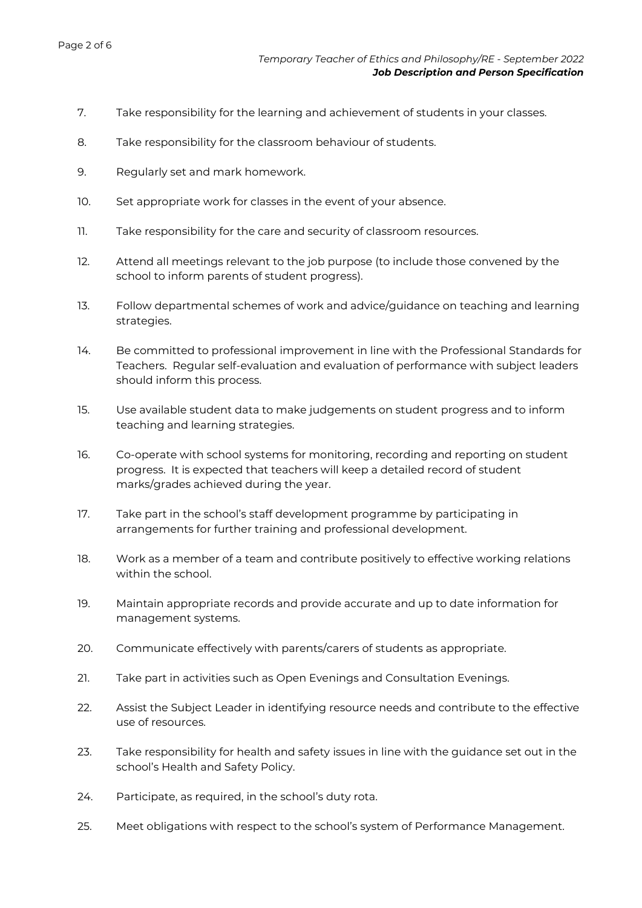- 7. Take responsibility for the learning and achievement of students in your classes.
- 8. Take responsibility for the classroom behaviour of students.
- 9. Regularly set and mark homework.
- 10. Set appropriate work for classes in the event of your absence.
- 11. Take responsibility for the care and security of classroom resources.
- 12. Attend all meetings relevant to the job purpose (to include those convened by the school to inform parents of student progress).
- 13. Follow departmental schemes of work and advice/guidance on teaching and learning strategies.
- 14. Be committed to professional improvement in line with the Professional Standards for Teachers. Regular self-evaluation and evaluation of performance with subject leaders should inform this process.
- 15. Use available student data to make judgements on student progress and to inform teaching and learning strategies.
- 16. Co-operate with school systems for monitoring, recording and reporting on student progress. It is expected that teachers will keep a detailed record of student marks/grades achieved during the year.
- 17. Take part in the school's staff development programme by participating in arrangements for further training and professional development.
- 18. Work as a member of a team and contribute positively to effective working relations within the school.
- 19. Maintain appropriate records and provide accurate and up to date information for management systems.
- 20. Communicate effectively with parents/carers of students as appropriate.
- 21. Take part in activities such as Open Evenings and Consultation Evenings.
- 22. Assist the Subject Leader in identifying resource needs and contribute to the effective use of resources.
- 23. Take responsibility for health and safety issues in line with the guidance set out in the school's Health and Safety Policy.
- 24. Participate, as required, in the school's duty rota.
- 25. Meet obligations with respect to the school's system of Performance Management.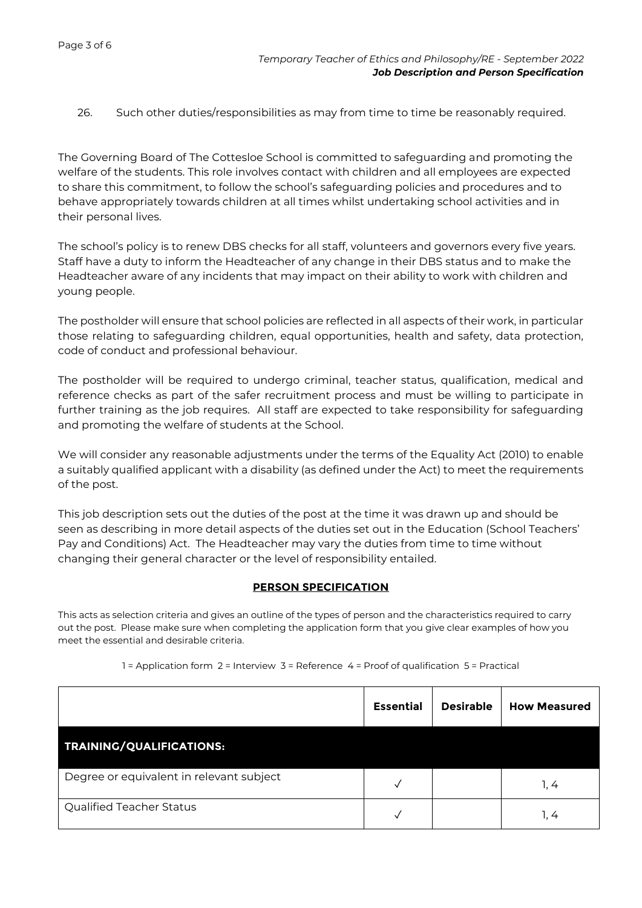26. Such other duties/responsibilities as may from time to time be reasonably required.

The Governing Board of The Cottesloe School is committed to safeguarding and promoting the welfare of the students. This role involves contact with children and all employees are expected to share this commitment, to follow the school's safeguarding policies and procedures and to behave appropriately towards children at all times whilst undertaking school activities and in their personal lives.

The school's policy is to renew DBS checks for all staff, volunteers and governors every five years. Staff have a duty to inform the Headteacher of any change in their DBS status and to make the Headteacher aware of any incidents that may impact on their ability to work with children and young people.

The postholder will ensure that school policies are reflected in all aspects of their work, in particular those relating to safeguarding children, equal opportunities, health and safety, data protection, code of conduct and professional behaviour.

The postholder will be required to undergo criminal, teacher status, qualification, medical and reference checks as part of the safer recruitment process and must be willing to participate in further training as the job requires. All staff are expected to take responsibility for safeguarding and promoting the welfare of students at the School.

We will consider any reasonable adjustments under the terms of the Equality Act (2010) to enable a suitably qualified applicant with a disability (as defined under the Act) to meet the requirements of the post.

This job description sets out the duties of the post at the time it was drawn up and should be seen as describing in more detail aspects of the duties set out in the Education (School Teachers' Pay and Conditions) Act. The Headteacher may vary the duties from time to time without changing their general character or the level of responsibility entailed.

## **PERSON SPECIFICATION**

This acts as selection criteria and gives an outline of the types of person and the characteristics required to carry out the post. Please make sure when completing the application form that you give clear examples of how you meet the essential and desirable criteria.

|                                          | <b>Essential</b> | <b>Desirable</b> | <b>How Measured</b> |
|------------------------------------------|------------------|------------------|---------------------|
| <b>TRAINING/QUALIFICATIONS:</b>          |                  |                  |                     |
| Degree or equivalent in relevant subject |                  |                  | 1, 4                |
| Qualified Teacher Status                 |                  |                  | 1. 4                |

1 = Application form 2 = Interview 3 = Reference 4 = Proof of qualification 5 = Practical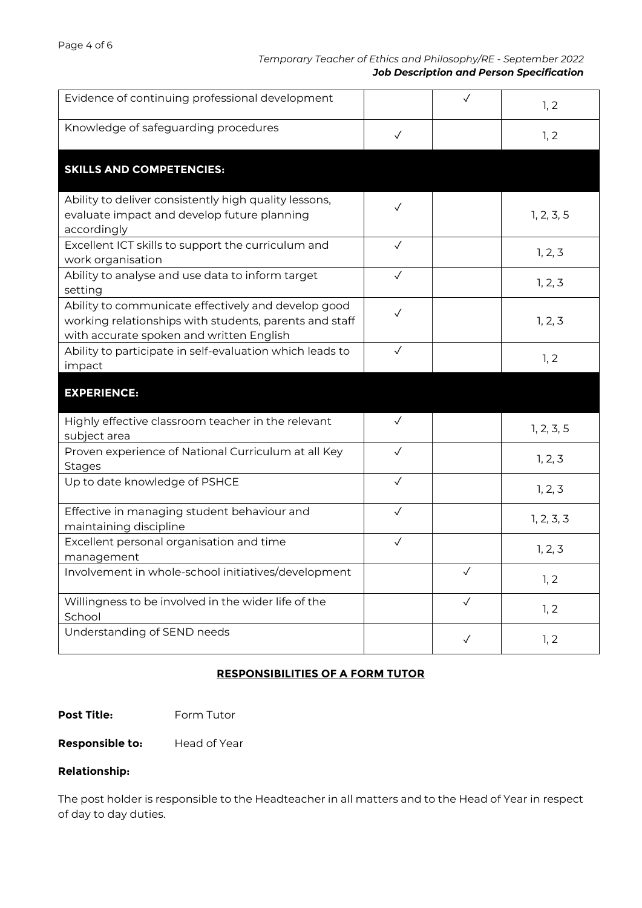## *Temporary Teacher of Ethics and Philosophy/RE - September 2022 Job Description and Person Specification*

| Evidence of continuing professional development                                                                                                           |              | $\checkmark$ | 1, 2       |
|-----------------------------------------------------------------------------------------------------------------------------------------------------------|--------------|--------------|------------|
| Knowledge of safeguarding procedures                                                                                                                      | $\checkmark$ |              | 1, 2       |
| <b>SKILLS AND COMPETENCIES:</b>                                                                                                                           |              |              |            |
| Ability to deliver consistently high quality lessons,<br>evaluate impact and develop future planning<br>accordingly                                       | $\checkmark$ |              | 1, 2, 3, 5 |
| Excellent ICT skills to support the curriculum and<br>work organisation                                                                                   | $\checkmark$ |              | 1, 2, 3    |
| Ability to analyse and use data to inform target<br>setting                                                                                               | $\checkmark$ |              | 1, 2, 3    |
| Ability to communicate effectively and develop good<br>working relationships with students, parents and staff<br>with accurate spoken and written English | $\checkmark$ |              | 1, 2, 3    |
| Ability to participate in self-evaluation which leads to<br>impact                                                                                        | $\checkmark$ |              | 1, 2       |
|                                                                                                                                                           |              |              |            |
| <b>EXPERIENCE:</b>                                                                                                                                        |              |              |            |
| Highly effective classroom teacher in the relevant<br>subject area                                                                                        | $\checkmark$ |              | 1, 2, 3, 5 |
| Proven experience of National Curriculum at all Key<br><b>Stages</b>                                                                                      | $\checkmark$ |              | 1, 2, 3    |
| Up to date knowledge of PSHCE                                                                                                                             | $\checkmark$ |              | 1, 2, 3    |
| Effective in managing student behaviour and<br>maintaining discipline                                                                                     | $\checkmark$ |              | 1, 2, 3, 3 |
| Excellent personal organisation and time<br>management                                                                                                    | $\checkmark$ |              | 1, 2, 3    |
| Involvement in whole-school initiatives/development                                                                                                       |              | $\checkmark$ | 1, 2       |
| Willingness to be involved in the wider life of the<br>School                                                                                             |              | $\checkmark$ | 1, 2       |

## **RESPONSIBILITIES OF A FORM TUTOR**

## **Post Title:** Form Tutor

**Responsible to:** Head of Year

## **Relationship:**

The post holder is responsible to the Headteacher in all matters and to the Head of Year in respect of day to day duties.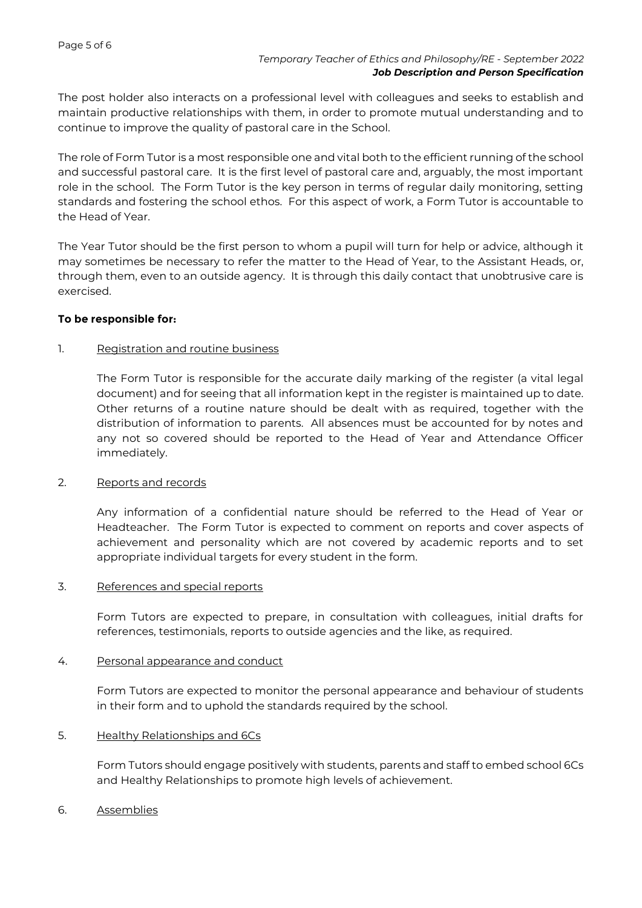The post holder also interacts on a professional level with colleagues and seeks to establish and maintain productive relationships with them, in order to promote mutual understanding and to continue to improve the quality of pastoral care in the School.

The role of Form Tutor is a most responsible one and vital both to the efficient running of the school and successful pastoral care. It is the first level of pastoral care and, arguably, the most important role in the school. The Form Tutor is the key person in terms of regular daily monitoring, setting standards and fostering the school ethos. For this aspect of work, a Form Tutor is accountable to the Head of Year.

The Year Tutor should be the first person to whom a pupil will turn for help or advice, although it may sometimes be necessary to refer the matter to the Head of Year, to the Assistant Heads, or, through them, even to an outside agency. It is through this daily contact that unobtrusive care is exercised.

## **To be responsible for:**

## 1. Registration and routine business

The Form Tutor is responsible for the accurate daily marking of the register (a vital legal document) and for seeing that all information kept in the register is maintained up to date. Other returns of a routine nature should be dealt with as required, together with the distribution of information to parents. All absences must be accounted for by notes and any not so covered should be reported to the Head of Year and Attendance Officer immediately.

#### 2. Reports and records

Any information of a confidential nature should be referred to the Head of Year or Headteacher. The Form Tutor is expected to comment on reports and cover aspects of achievement and personality which are not covered by academic reports and to set appropriate individual targets for every student in the form.

#### 3. References and special reports

Form Tutors are expected to prepare, in consultation with colleagues, initial drafts for references, testimonials, reports to outside agencies and the like, as required.

## 4. Personal appearance and conduct

Form Tutors are expected to monitor the personal appearance and behaviour of students in their form and to uphold the standards required by the school.

## 5. Healthy Relationships and 6Cs

Form Tutors should engage positively with students, parents and staff to embed school 6Cs and Healthy Relationships to promote high levels of achievement.

#### 6. Assemblies